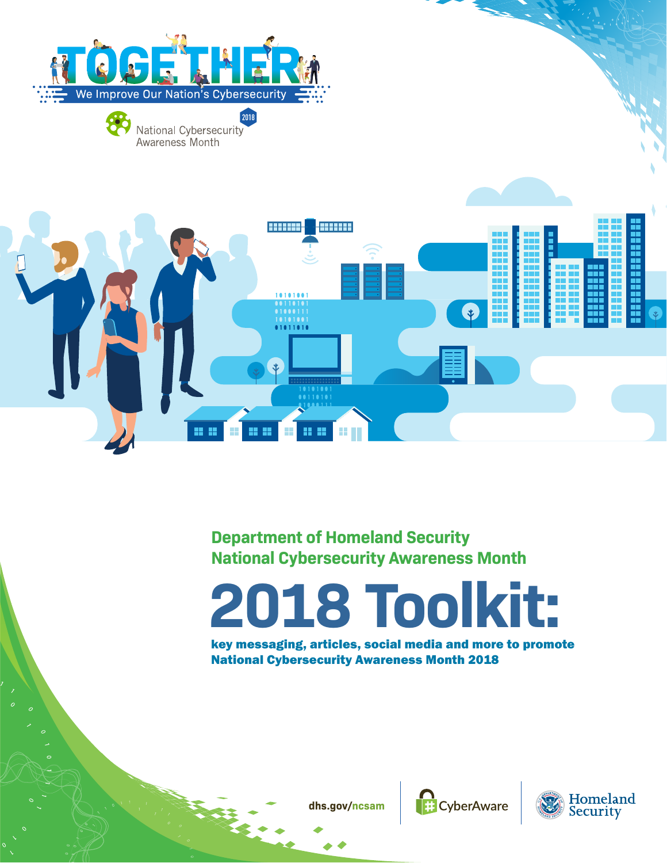





# **Department of Homeland Security National Cybersecurity Awareness Month**

# **2 0 1 8 To o l k i t:**

key messaging, articles, social media and mor e t o promote National Cybersecurity Awareness Month 2018





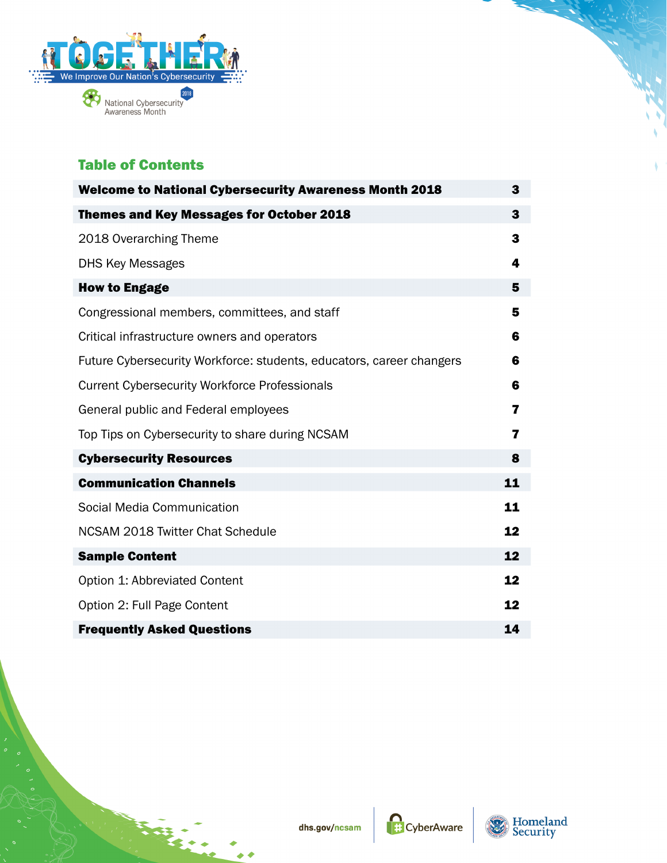

# Table of Contents

| <b>Welcome to National Cybersecurity Awareness Month 2018</b>        | 3  |
|----------------------------------------------------------------------|----|
| <b>Themes and Key Messages for October 2018</b>                      | 3  |
| 2018 Overarching Theme                                               | 3  |
| <b>DHS Key Messages</b>                                              | 4  |
| <b>How to Engage</b>                                                 | 5  |
| Congressional members, committees, and staff                         | 5  |
| Critical infrastructure owners and operators                         | 6  |
| Future Cybersecurity Workforce: students, educators, career changers | 6  |
| <b>Current Cybersecurity Workforce Professionals</b>                 | 6  |
| General public and Federal employees                                 | 7  |
| Top Tips on Cybersecurity to share during NCSAM                      | 7  |
| <b>Cybersecurity Resources</b>                                       | 8  |
| <b>Communication Channels</b>                                        | 11 |
| Social Media Communication                                           | 11 |
| NCSAM 2018 Twitter Chat Schedule                                     | 12 |
| <b>Sample Content</b>                                                | 12 |
| Option 1: Abbreviated Content                                        | 12 |
| Option 2: Full Page Content                                          | 12 |
| <b>Frequently Asked Questions</b>                                    | 14 |



▲

\$

CyberAware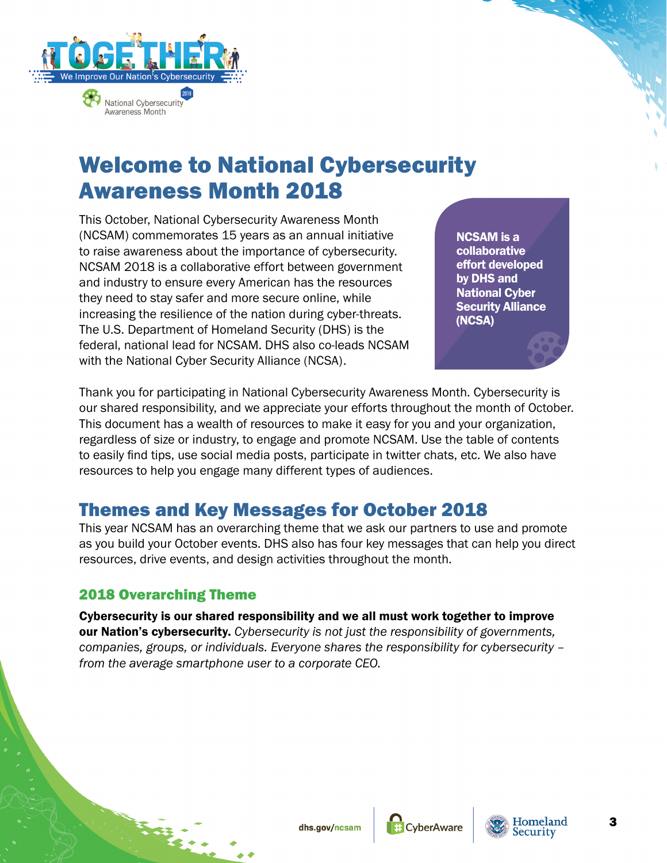<span id="page-2-0"></span>

Awareness Month

# Welcome to National Cybersecurity Awareness Month 2018

This October, National Cybersecurity Awareness Month (NCSAM) commemorates 15 years as an annual initiative to raise awareness about the importance of cybersecurity. NCSAM 2018 is a collaborative effort between government and industry to ensure every American has the resources they need to stay safer and more secure online, while increasing the resilience of the nation during cyber-threats. The U.S. Department of Homeland Security (DHS) is the federal, national lead for NCSAM. DHS also co-leads NCSAM with the National Cyber Security Alliance (NCSA).

NCSAM is a collaborative effort developed by DHS and National Cyber Security Alliance (NCSA)

Thank you for participating in National Cybersecurity Awareness Month. Cybersecurity is our shared responsibility, and we appreciate your efforts throughout the month of October. This document has a wealth of resources to make it easy for you and your organization, regardless of size or industry, to engage and promote NCSAM. Use the table of contents to easily find tips, use social media posts, participate in twitter chats, etc. We also have resources to help you engage many different types of audiences.

# Themes and Key Messages for October 2018

This year NCSAM has an overarching theme that we ask our partners to use and promote as you build your October events. DHS also has four key messages that can help you direct resources, drive events, and design activities throughout the month.

# 2018 Overarching Theme

Cybersecurity is our shared responsibility and we all must work together to improve our Nation's cybersecurity. *Cybersecurity is not just the responsibility of governments, companies, groups, or individuals. Everyone shares the responsibility for cybersecurity – from the average smartphone user to a corporate CEO.* 



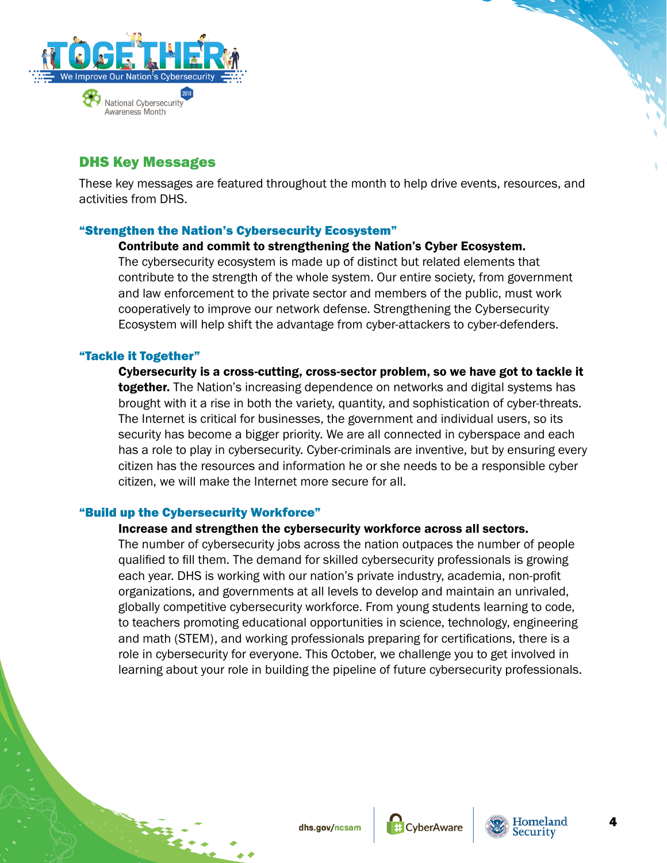<span id="page-3-0"></span>

# DHS Key Messages

These key messages are featured throughout the month to help drive events, resources, and activities from DHS.

## "Strengthen the Nation's Cybersecurity Ecosystem"

#### Contribute and commit to strengthening the Nation's Cyber Ecosystem.

The cybersecurity ecosystem is made up of distinct but related elements that contribute to the strength of the whole system. Our entire society, from government and law enforcement to the private sector and members of the public, must work cooperatively to improve our network defense. Strengthening the Cybersecurity Ecosystem will help shift the advantage from cyber-attackers to cyber-defenders.

## "Tackle it Together"

Cybersecurity is a cross-cutting, cross-sector problem, so we have got to tackle it together. The Nation's increasing dependence on networks and digital systems has brought with it a rise in both the variety, quantity, and sophistication of cyber-threats. The Internet is critical for businesses, the government and individual users, so its security has become a bigger priority. We are all connected in cyberspace and each has a role to play in cybersecurity. Cyber-criminals are inventive, but by ensuring every citizen has the resources and information he or she needs to be a responsible cyber citizen, we will make the Internet more secure for all.

## "Build up the Cybersecurity Workforce"

## Increase and strengthen the cybersecurity workforce across all sectors.

The number of cybersecurity jobs across the nation outpaces the number of people qualified to fill them. The demand for skilled cybersecurity professionals is growing each year. DHS is working with our nation's private industry, academia, non-profit organizations, and governments at all levels to develop and maintain an unrivaled, globally competitive cybersecurity workforce. From young students learning to code, to teachers promoting educational opportunities in science, technology, engineering and math (STEM), and working professionals preparing for certifications, there is a role in cybersecurity for everyone. This October, we challenge you to get involved in learning about your role in building the pipeline of future cybersecurity professionals.



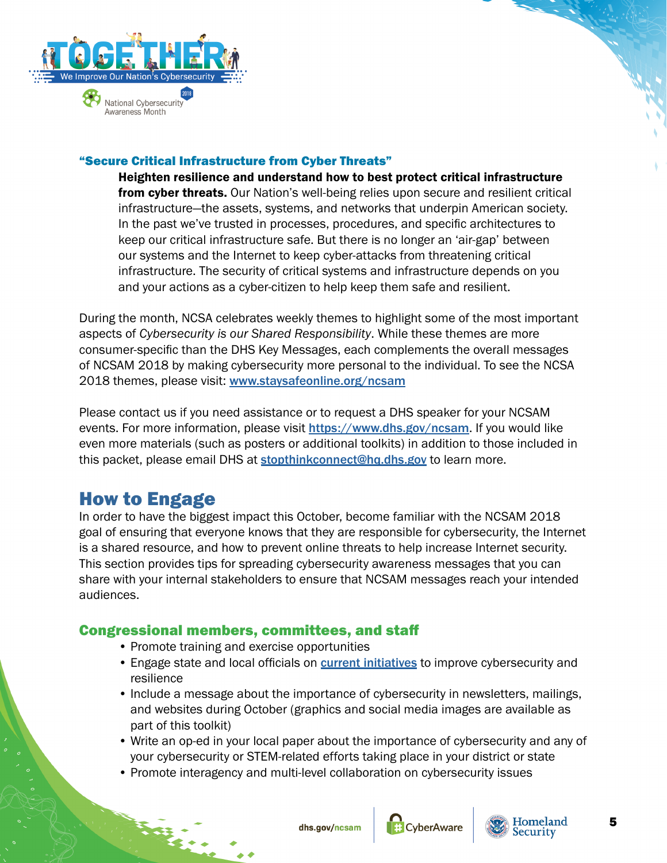<span id="page-4-0"></span>

## "Secure Critical Infrastructure from Cyber Threats"

Heighten resilience and understand how to best protect critical infrastructure from cyber threats. Our Nation's well-being relies upon secure and resilient critical infrastructure—the assets, systems, and networks that underpin American society. In the past we've trusted in processes, procedures, and specific architectures to keep our critical infrastructure safe. But there is no longer an 'air-gap' between our systems and the Internet to keep cyber-attacks from threatening critical infrastructure. The security of critical systems and infrastructure depends on you and your actions as a cyber-citizen to help keep them safe and resilient.

During the month, NCSA celebrates weekly themes to highlight some of the most important aspects of *Cybersecurity is our Shared Responsibility*. While these themes are more consumer-specific than the DHS Key Messages, each complements the overall messages of NCSAM 2018 by making cybersecurity more personal to the individual. To see the NCSA 2018 themes, please visit: [www.staysafeonline.org/ncsam](https://www.staysafeonline.org/ncsam)

Please contact us if you need assistance or to request a DHS speaker for your NCSAM events. For more information, please visit <https://www.dhs.gov/ncsam>. If you would like even more materials (such as posters or additional toolkits) in addition to those included in this packet, please email DHS at [stopthinkconnect@hq.dhs.gov](mailto:stopthinkconnect@hq.dhs.gov) to learn more.

# How to Engage

In order to have the biggest impact this October, become familiar with the NCSAM 2018 goal of ensuring that everyone knows that they are responsible for cybersecurity, the Internet is a shared resource, and how to prevent online threats to help increase Internet security. This section provides tips for spreading cybersecurity awareness messages that you can share with your internal stakeholders to ensure that NCSAM messages reach your intended audiences.

# Congressional members, committees, and staff

- Promote training and exercise opportunities
- Engage state and local officials on **[current initiatives](http://go.usa.gov/xPTPq)** to improve cybersecurity and resilience
- Include a message about the importance of cybersecurity in newsletters, mailings, and websites during October (graphics and social media images are available as part of this toolkit)
- Write an op-ed in your local paper about the importance of cybersecurity and any of your cybersecurity or STEM-related efforts taking place in your district or state
- Promote interagency and multi-level collaboration on cybersecurity issues





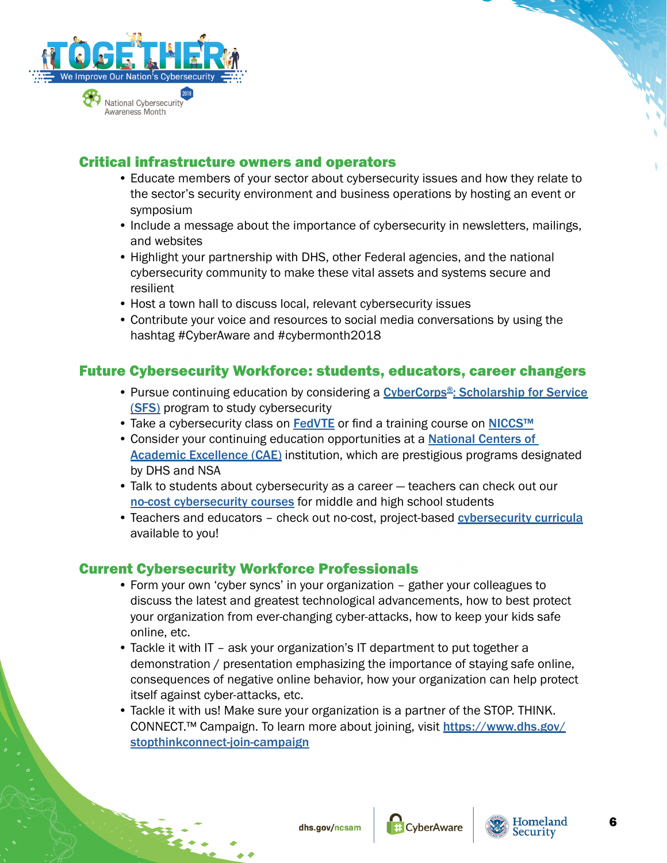<span id="page-5-0"></span>

# Critical infrastructure owners and operators

- Educate members of your sector about cybersecurity issues and how they relate to the sector's security environment and business operations by hosting an event or symposium
- Include a message about the importance of cybersecurity in newsletters, mailings, and websites
- Highlight your partnership with DHS, other Federal agencies, and the national cybersecurity community to make these vital assets and systems secure and resilient
- Host a town hall to discuss local, relevant cybersecurity issues
- Contribute your voice and resources to social media conversations by using the hashtag #CyberAware and #cybermonth2018

# Future Cybersecurity Workforce: students, educators, career changers

- Pursue continuing education by considering a CyberCorps<sup>®</sup>: Scholarship for Service [\(SFS\)](http://go.usa.gov/xPTPr) program to study cybersecurity
- Take a cybersecurity class on [FedVTE](http://go.usa.gov/xPTP4) or find a training course on [NICCS™](https://go.usa.gov/xPTPj)
- Consider your continuing education opportunities at a **National Centers of [Academic Excellence \(CAE\)](https://go.usa.gov/xPTPD)** institution, which are prestigious programs designated by DHS and NSA
- Talk to students about cybersecurity as a career teachers can check out our [no-cost cybersecurity courses](https://go.usa.gov/xPTPk) for middle and high school students
- Teachers and educators check out no-cost, project-based [cybersecurity curricula](https://nicerc.org/curricula/) available to you!

# Current Cybersecurity Workforce Professionals

- Form your own 'cyber syncs' in your organization gather your colleagues to discuss the latest and greatest technological advancements, how to best protect your organization from ever-changing cyber-attacks, how to keep your kids safe online, etc.
- Tackle it with IT ask your organization's IT department to put together a demonstration / presentation emphasizing the importance of staying safe online, consequences of negative online behavior, how your organization can help protect itself against cyber-attacks, etc.
- Tackle it with us! Make sure your organization is a partner of the STOP. THINK. CONNECT.™ Campaign. To learn more about joining, visit [https://www.dhs.gov/](https://www.dhs.gov/stopthinkconnect-join-campaign) [stopthinkconnect-join-campaign](https://www.dhs.gov/stopthinkconnect-join-campaign)



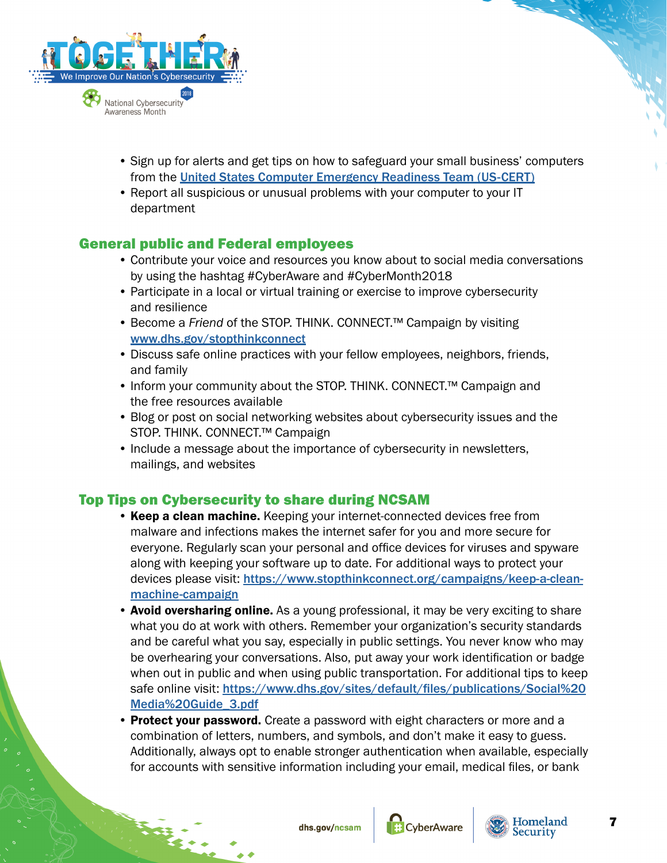<span id="page-6-0"></span>

- Sign up for alerts and get tips on how to safeguard your small business' computers from the [United States Computer Emergency Readiness Team \(US-CERT\)](https://go.usa.gov/xPTP5)
- Report all suspicious or unusual problems with your computer to your IT department

# General public and Federal employees

- Contribute your voice and resources you know about to social media conversations by using the hashtag #CyberAware and #CyberMonth2018
- Participate in a local or virtual training or exercise to improve cybersecurity and resilience
- Become a *Friend* of the STOP. THINK. CONNECT.™ Campaign by visiting [www.dhs.gov/stopthinkconnect](https://www.dhs.gov/stopthinkconnect)
- Discuss safe online practices with your fellow employees, neighbors, friends, and family
- Inform your community about the STOP. THINK. CONNECT.™ Campaign and the free resources available
- Blog or post on social networking websites about cybersecurity issues and the STOP. THINK. CONNECT.™ Campaign
- Include a message about the importance of cybersecurity in newsletters, mailings, and websites

# Top Tips on Cybersecurity to share during NCSAM

- Keep a clean machine. Keeping your internet-connected devices free from malware and infections makes the internet safer for you and more secure for everyone. Regularly scan your personal and office devices for viruses and spyware along with keeping your software up to date. For additional ways to protect your devices please visit: [https://www.stopthinkconnect.org/campaigns/keep-a-clean](https://www.stopthinkconnect.org/campaigns/keep-a-clean-machine-campaign)[machine-campaign](https://www.stopthinkconnect.org/campaigns/keep-a-clean-machine-campaign)
- Avoid oversharing online. As a young professional, it may be very exciting to share what you do at work with others. Remember your organization's security standards and be careful what you say, especially in public settings. You never know who may be overhearing your conversations. Also, put away your work identification or badge when out in public and when using public transportation. For additional tips to keep safe online visit: [https://www.dhs.gov/sites/default/files/publications/Social%20](https://www.dhs.gov/sites/default/files/publications/Social%20Media%20Guide_3.pdf) [Media%20Guide\\_3.pdf](https://www.dhs.gov/sites/default/files/publications/Social%20Media%20Guide_3.pdf)
- Protect your password. Create a password with eight characters or more and a combination of letters, numbers, and symbols, and don't make it easy to guess. Additionally, always opt to enable stronger authentication when available, especially for accounts with sensitive information including your email, medical files, or bank





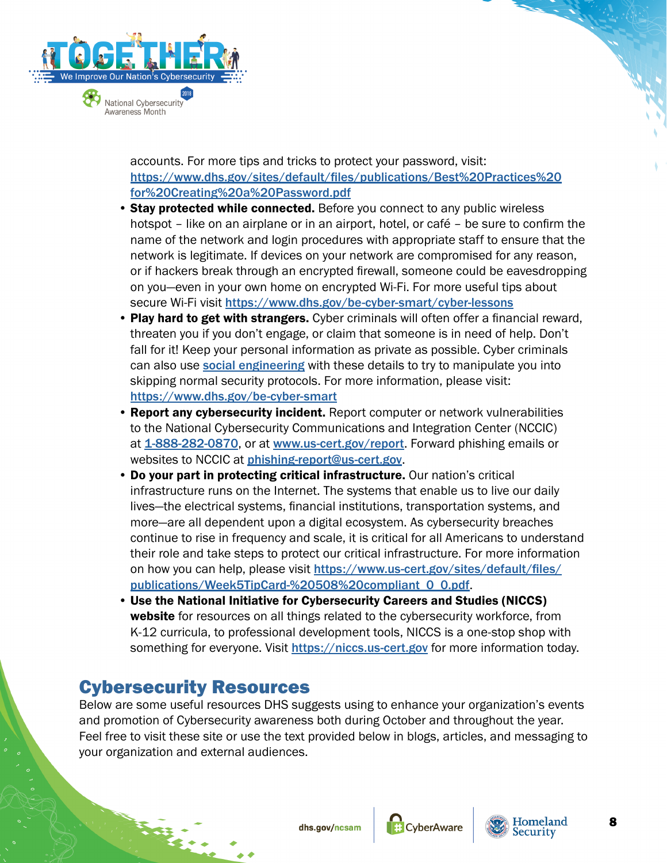<span id="page-7-0"></span>

accounts. For more tips and tricks to protect your password, visit: [https://www.dhs.gov/sites/default/files/publications/Best%20Practices%20](https://www.dhs.gov/sites/default/files/publications/Best%20Practices%20for%20Creating%20a%20Password.pdf) [for%20Creating%20a%20Password.pdf](https://www.dhs.gov/sites/default/files/publications/Best%20Practices%20for%20Creating%20a%20Password.pdf)

- Stay protected while connected. Before you connect to any public wireless hotspot – like on an airplane or in an airport, hotel, or café – be sure to confirm the name of the network and login procedures with appropriate staff to ensure that the network is legitimate. If devices on your network are compromised for any reason, or if hackers break through an encrypted firewall, someone could be eavesdropping on you—even in your own home on encrypted Wi-Fi. For more useful tips about secure Wi-Fi visit <https://www.dhs.gov/be-cyber-smart/cyber-lessons>
- Play hard to get with strangers. Cyber criminals will often offer a financial reward, threaten you if you don't engage, or claim that someone is in need of help. Don't fall for it! Keep your personal information as private as possible. Cyber criminals can also use **[social engineering](https://go.usa.gov/xP5st)** with these details to try to manipulate you into skipping normal security protocols. For more information, please visit: <https://www.dhs.gov/be-cyber-smart>
- Report any cybersecurity incident. Report computer or network vulnerabilities to the National Cybersecurity Communications and Integration Center (NCCIC) at [1-888-282-0870](tel:+18882820870), or at [www.us-cert.gov/report](https://www.us-cert.gov/report). Forward phishing emails or websites to NCCIC at [phishing-report@us-cert.gov](mailto:phishing-report@us-cert.gov).
- Do your part in protecting critical infrastructure. Our nation's critical infrastructure runs on the Internet. The systems that enable us to live our daily lives—the electrical systems, financial institutions, transportation systems, and more—are all dependent upon a digital ecosystem. As cybersecurity breaches continue to rise in frequency and scale, it is critical for all Americans to understand their role and take steps to protect our critical infrastructure. For more information on how you can help, please visit [https://www.us-cert.gov/sites/default/files/](https://www.us-cert.gov/sites/default/files/publications/Week5TipCard-%20508%20compliant_0_0.pdf) [publications/Week5TipCard-%20508%20compliant\\_0\\_0.pdf](https://www.us-cert.gov/sites/default/files/publications/Week5TipCard-%20508%20compliant_0_0.pdf).
- Use the National Initiative for Cybersecurity Careers and Studies (NICCS) website for resources on all things related to the cybersecurity workforce, from K-12 curricula, to professional development tools, NICCS is a one-stop shop with something for everyone. Visit <https://niccs.us-cert.gov> for more information today.

# Cybersecurity Resources

Below are some useful resources DHS suggests using to enhance your organization's events and promotion of Cybersecurity awareness both during October and throughout the year. Feel free to visit these site or use the text provided below in blogs, articles, and messaging to your organization and external audiences.





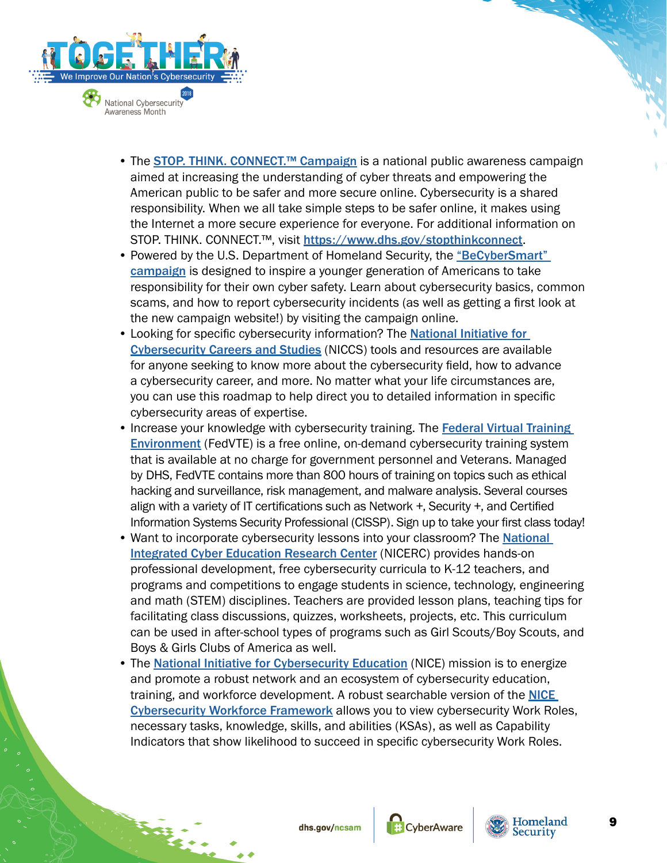

- The **STOP. THINK. CONNECT.<sup>™</sup> Campaign** is a national public awareness campaign aimed at increasing the understanding of cyber threats and empowering the American public to be safer and more secure online. Cybersecurity is a shared responsibility. When we all take simple steps to be safer online, it makes using the Internet a more secure experience for everyone. For additional information on STOP. THINK. CONNECT.™, visit <https://www.dhs.gov/stopthinkconnect>.
- Powered by the U.S. Department of Homeland Security, the "BeCyberSmart" [campaign](https://go.usa.gov/xPTPP) is designed to inspire a younger generation of Americans to take responsibility for their own cyber safety. Learn about cybersecurity basics, common scams, and how to report cybersecurity incidents (as well as getting a first look at the new campaign website!) by visiting the campaign online.
- Looking for specific cybersecurity information? The National Initiative for [Cybersecurity Careers and Studies](https://go.usa.gov/xPTPm) (NICCS) tools and resources are available for anyone seeking to know more about the cybersecurity field, how to advance a cybersecurity career, and more. No matter what your life circumstances are, you can use this roadmap to help direct you to detailed information in specific cybersecurity areas of expertise.
- Increase your knowledge with cybersecurity training. The [Federal Virtual Training](http://go.usa.gov/xPTP4)  **[Environment](http://go.usa.gov/xPTP4)** (FedVTE) is a free online, on-demand cybersecurity training system that is available at no charge for government personnel and Veterans. Managed by DHS, FedVTE contains more than 800 hours of training on topics such as ethical hacking and surveillance, risk management, and malware analysis. Several courses align with a variety of IT certifications such as Network +, Security +, and Certified Information Systems Security Professional (CISSP). Sign up to take your first class today!
- Want to incorporate cybersecurity lessons into your classroom? The National **[Integrated Cyber Education Research Center](https://nicerc.org/) (NICERC) provides hands-on** professional development, free cybersecurity curricula to K-12 teachers, and programs and competitions to engage students in science, technology, engineering and math (STEM) disciplines. Teachers are provided lesson plans, teaching tips for facilitating class discussions, quizzes, worksheets, projects, etc. This curriculum can be used in after-school types of programs such as Girl Scouts/Boy Scouts, and Boys & Girls Clubs of America as well.
- The [National Initiative for Cybersecurity Education](https://go.usa.gov/xPTPH) (NICE) mission is to energize and promote a robust network and an ecosystem of cybersecurity education, training, and workforce development. A robust searchable version of the **NICE** [Cybersecurity Workforce Framework](https://go.usa.gov/xPTPd) allows you to view cybersecurity Work Roles, necessary tasks, knowledge, skills, and abilities (KSAs), as well as Capability Indicators that show likelihood to succeed in specific cybersecurity Work Roles.





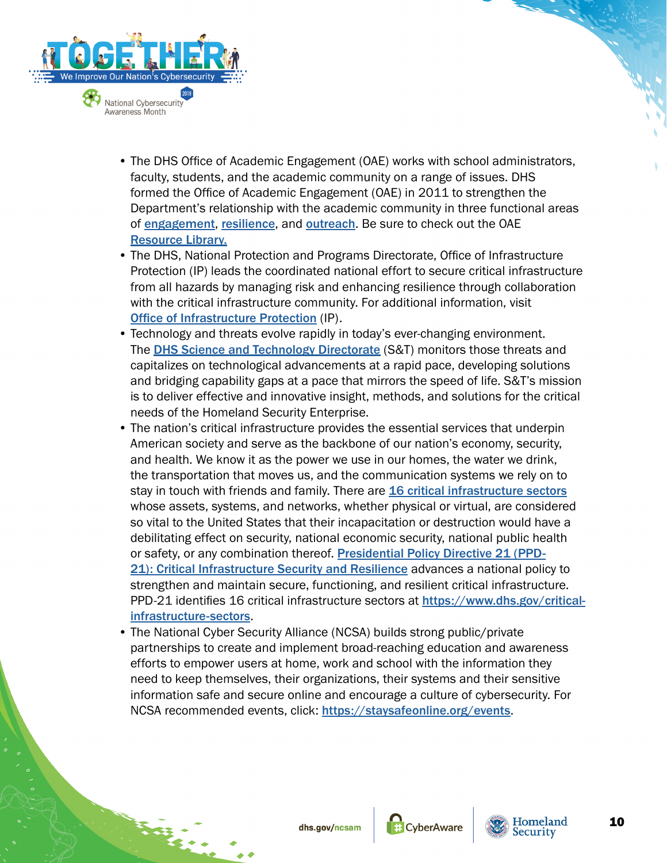

- The DHS Office of Academic Engagement (OAE) works with school administrators, faculty, students, and the academic community on a range of issues. DHS formed the Office of Academic Engagement (OAE) in 2011 to strengthen the Department's relationship with the academic community in three functional areas of [engagement](https://go.usa.gov/xPTPz), [resilience](https://go.usa.gov/xPTPu), and [outreach](https://go.usa.gov/xPTPJ). Be sure to check out the OAE [Resource Library.](https://go.usa.gov/xPTPS)
- The DHS, National Protection and Programs Directorate, Office of Infrastructure Protection (IP) leads the coordinated national effort to secure critical infrastructure from all hazards by managing risk and enhancing resilience through collaboration with the critical infrastructure community. For additional information, visit [Office of Infrastructure Protection](https://go.usa.gov/xPTPh) (IP).
- Technology and threats evolve rapidly in today's ever-changing environment. The [DHS Science and Technology Directorate](https://go.usa.gov/xPTE3) (S&T) monitors those threats and capitalizes on technological advancements at a rapid pace, developing solutions and bridging capability gaps at a pace that mirrors the speed of life. S&T's mission is to deliver effective and innovative insight, methods, and solutions for the critical needs of the Homeland Security Enterprise.
- The nation's critical infrastructure provides the essential services that underpin American society and serve as the backbone of our nation's economy, security, and health. We know it as the power we use in our homes, the water we drink, the transportation that moves us, and the communication systems we rely on to stay in touch with friends and family. There are **[16 critical infrastructure sectors](https://go.usa.gov/xPTEc)** whose assets, systems, and networks, whether physical or virtual, are considered so vital to the United States that their incapacitation or destruction would have a debilitating effect on security, national economic security, national public health or safety, or any combination thereof. [Presidential Policy Directive 21 \(PPD-](https://go.usa.gov/xPTEx)[21\): Critical Infrastructure Security and Resilience](https://go.usa.gov/xPTEx) advances a national policy to strengthen and maintain secure, functioning, and resilient critical infrastructure. PPD-21 identifies 16 critical infrastructure sectors at [https://www.dhs.gov/critical](https://www.dhs.gov/critical-infrastructure-sectors)[infrastructure-sectors](https://www.dhs.gov/critical-infrastructure-sectors).
- The National Cyber Security Alliance (NCSA) builds strong public/private partnerships to create and implement broad-reaching education and awareness efforts to empower users at home, work and school with the information they need to keep themselves, their organizations, their systems and their sensitive information safe and secure online and encourage a culture of cybersecurity. For NCSA recommended events, click: <https://staysafeonline.org/events>.



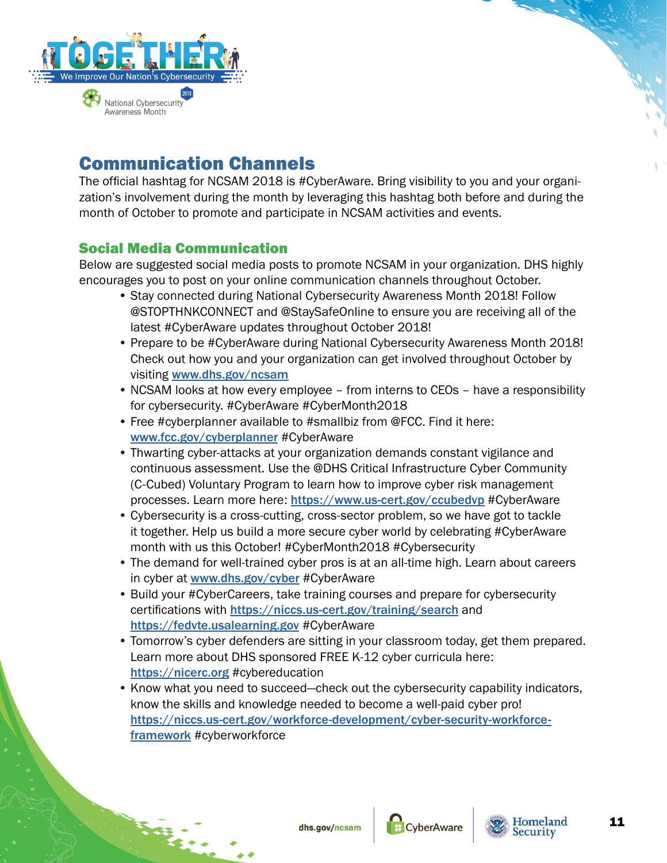<span id="page-10-0"></span>

# Communication Channels

The official hashtag for NCSAM 2018 is #CyberAware. Bring visibility to you and your organization's involvement during the month by leveraging this hashtag both before and during the month of October to promote and participate in NCSAM activities and events.

# Social Media Communication

Below are suggested social media posts to promote NCSAM in your organization. DHS highly encourages you to post on your online communication channels throughout October.

- Stay connected during National Cybersecurity Awareness Month 2018! Follow @STOPTHNKCONNECT and @StaySafeOnline to ensure you are receiving all of the latest #CyberAware updates throughout October 2018!
- Prepare to be #CyberAware during National Cybersecurity Awareness Month 2018! Check out how you and your organization can get involved throughout October by visiting [www.dhs.gov/ncsam](https://www.dhs.gov/ncsam)
- NCSAM looks at how every employee from interns to CEOs have a responsibility for cybersecurity. #CyberAware #CyberMonth2018
- Free #cyberplanner available to #smallbiz from @FCC. Find it here: [www.fcc.gov/cyberplanner](https://www.fcc.gov/cyberplanner) #CyberAware
- Thwarting cyber-attacks at your organization demands constant vigilance and continuous assessment. Use the @DHS Critical Infrastructure Cyber Community (C-Cubed) Voluntary Program to learn how to improve cyber risk management processes. Learn more here: <https://www.us-cert.gov/ccubedvp> #CyberAware
- Cybersecurity is a cross-cutting, cross-sector problem, so we have got to tackle it together. Help us build a more secure cyber world by celebrating #CyberAware month with us this October! #CyberMonth2018 #Cybersecurity
- The demand for well-trained cyber pros is at an all-time high. Learn about careers in cyber at [www.dhs.gov/cyber](https://www.dhs.gov/cyber) #CyberAware
- Build your #CyberCareers, take training courses and prepare for cybersecurity certifications with <https://niccs.us-cert.gov/training/search> and <https://fedvte.usalearning.gov> #CyberAware
- Tomorrow's cyber defenders are sitting in your classroom today, get them prepared. Learn more about DHS sponsored FREE K-12 cyber curricula here: <https://nicerc.org> #cybereducation
- Know what you need to succeed—check out the cybersecurity capability indicators, know the skills and knowledge needed to become a well-paid cyber pro! [https://niccs.us-cert.gov/workforce-development/cyber-security-workforce](https://niccs.us-cert.gov/workforce-development/cyber-security-workforce-framework)[framework](https://niccs.us-cert.gov/workforce-development/cyber-security-workforce-framework) #cyberworkforce



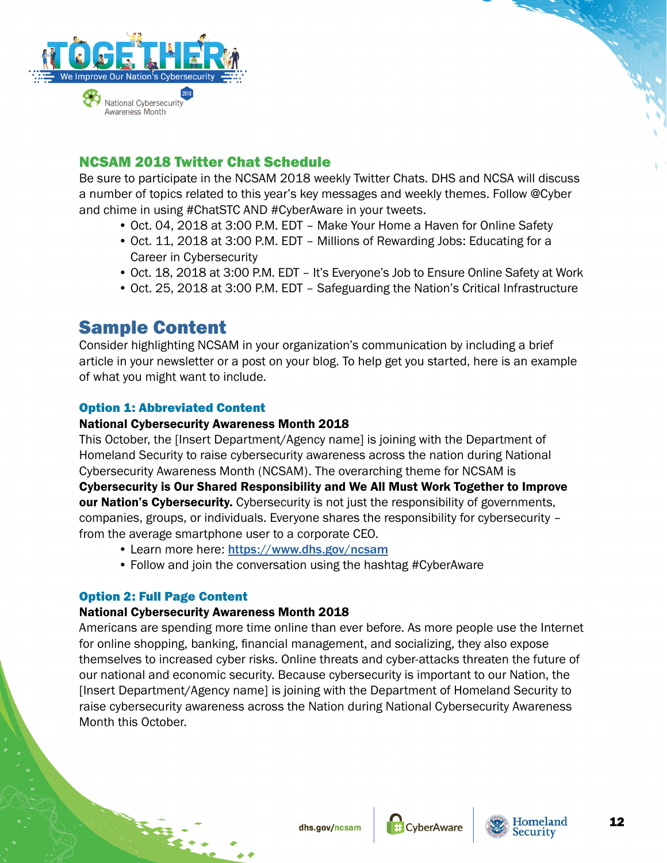<span id="page-11-0"></span>

# NCSAM 2018 Twitter Chat Schedule

Be sure to participate in the NCSAM 2018 weekly Twitter Chats. DHS and NCSA will discuss a number of topics related to this year's key messages and weekly themes. Follow @Cyber and chime in using #ChatSTC AND #CyberAware in your tweets.

- Oct. 04, 2018 at 3:00 P.M. EDT Make Your Home a Haven for Online Safety
- Oct. 11, 2018 at 3:00 P.M. EDT Millions of Rewarding Jobs: Educating for a Career in Cybersecurity
- Oct. 18, 2018 at 3:00 P.M. EDT It's Everyone's Job to Ensure Online Safety at Work
- Oct. 25, 2018 at 3:00 P.M. EDT Safeguarding the Nation's Critical Infrastructure

# Sample Content

Consider highlighting NCSAM in your organization's communication by including a brief article in your newsletter or a post on your blog. To help get you started, here is an example of what you might want to include.

# Option 1: Abbreviated Content

## National Cybersecurity Awareness Month 2018

This October, the [Insert Department/Agency name] is joining with the Department of Homeland Security to raise cybersecurity awareness across the nation during National Cybersecurity Awareness Month (NCSAM). The overarching theme for NCSAM is Cybersecurity is Our Shared Responsibility and We All Must Work Together to Improve our Nation's Cybersecurity. Cybersecurity is not just the responsibility of governments, companies, groups, or individuals. Everyone shares the responsibility for cybersecurity – from the average smartphone user to a corporate CEO.

- Learn more here: <https://www.dhs.gov/ncsam>
- Follow and join the conversation using the hashtag #CyberAware

## Option 2: Full Page Content

## National Cybersecurity Awareness Month 2018

Americans are spending more time online than ever before. As more people use the Internet for online shopping, banking, financial management, and socializing, they also expose themselves to increased cyber risks. Online threats and cyber-attacks threaten the future of our national and economic security. Because cybersecurity is important to our Nation, the [Insert Department/Agency name] is joining with the Department of Homeland Security to raise cybersecurity awareness across the Nation during National Cybersecurity Awareness Month this October.



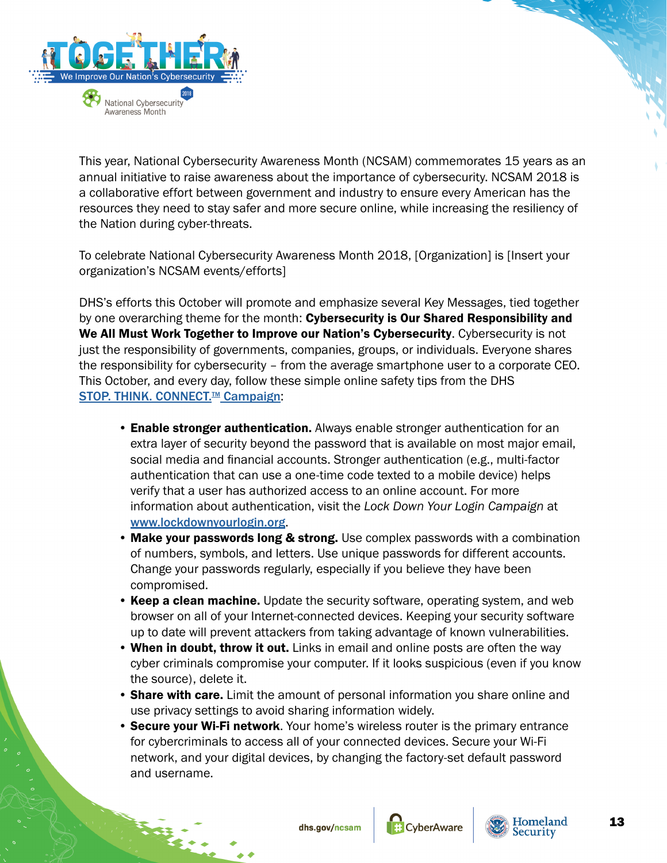

This year, National Cybersecurity Awareness Month (NCSAM) commemorates 15 years as an annual initiative to raise awareness about the importance of cybersecurity. NCSAM 2018 is a collaborative effort between government and industry to ensure every American has the resources they need to stay safer and more secure online, while increasing the resiliency of the Nation during cyber-threats.

To celebrate National Cybersecurity Awareness Month 2018, [Organization] is [Insert your organization's NCSAM events/efforts]

DHS's efforts this October will promote and emphasize several Key Messages, tied together by one overarching theme for the month: Cybersecurity is Our Shared Responsibility and We All Must Work Together to Improve our Nation's Cybersecurity. Cybersecurity is not just the responsibility of governments, companies, groups, or individuals. Everyone shares the responsibility for cybersecurity – from the average smartphone user to a corporate CEO. This October, and every day, follow these simple online safety tips from the DHS STOP. THINK. CONNECT.<sup>™</sup> Campaign:

- Enable stronger authentication. Always enable stronger authentication for an extra layer of security beyond the password that is available on most major email, social media and financial accounts. Stronger authentication (e.g., multi-factor authentication that can use a one-time code texted to a mobile device) helps verify that a user has authorized access to an online account. For more information about authentication, visit the *Lock Down Your Login Campaign* at [www.lockdownyourlogin.](https://www.lockdownyourlogin.org)org.
- Make your passwords long & strong. Use complex passwords with a combination of numbers, symbols, and letters. Use unique passwords for different accounts. Change your passwords regularly, especially if you believe they have been compromised.
- Keep a clean machine. Update the security software, operating system, and web browser on all of your Internet-connected devices. Keeping your security software up to date will prevent attackers from taking advantage of known vulnerabilities.
- When in doubt, throw it out. Links in email and online posts are often the way cyber criminals compromise your computer. If it looks suspicious (even if you know the source), delete it.
- Share with care. Limit the amount of personal information you share online and use privacy settings to avoid sharing information widely.
- Secure your Wi-Fi network. Your home's wireless router is the primary entrance for cybercriminals to access all of your connected devices. Secure your Wi-Fi network, and your digital devices, by changing the factory-set default password and username.



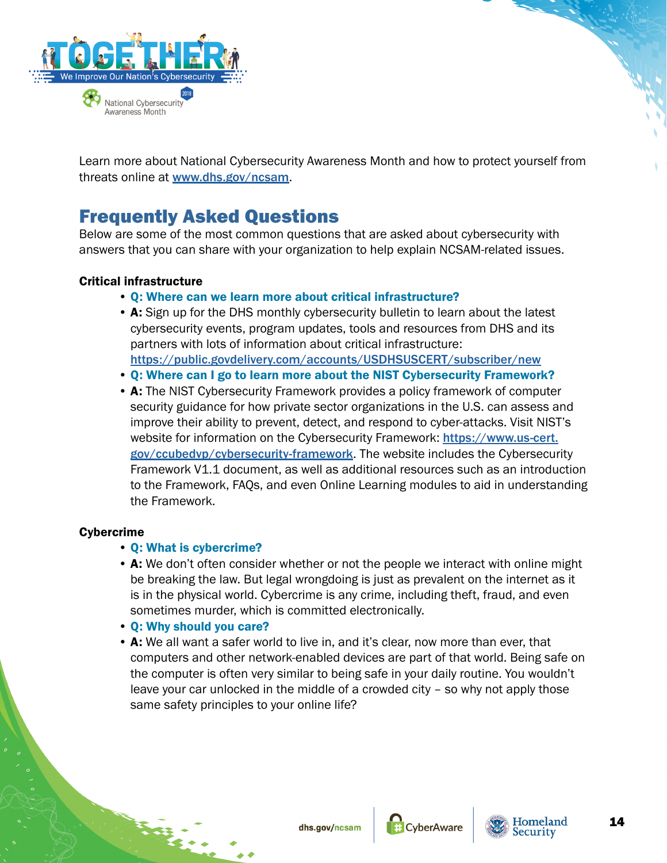<span id="page-13-0"></span>

Learn more about National Cybersecurity Awareness Month and how to protect yourself from threats online at [www.dhs.gov/ncsam](https://www.dhs.gov/ncsam).

# Frequently Asked Questions

Below are some of the most common questions that are asked about cybersecurity with answers that you can share with your organization to help explain NCSAM-related issues.

## Critical infrastructure

- Q: Where can we learn more about critical infrastructure?
- A: Sign up for the DHS monthly cybersecurity bulletin to learn about the latest cybersecurity events, program updates, tools and resources from DHS and its partners with lots of information about critical infrastructure: <https://public.govdelivery.com/accounts/USDHSUSCERT/subscriber/new>
- Q: Where can I go to learn more about the NIST Cybersecurity Framework?
- A: The NIST Cybersecurity Framework provides a policy framework of computer security guidance for how private sector organizations in the U.S. can assess and improve their ability to prevent, detect, and respond to cyber-attacks. Visit NIST's website for information on the Cybersecurity Framework: [https://www.us-cert.](https://www.us-cert.gov/ccubedvp/cybersecurity-framework) [gov/ccubedvp/cybersecurity-framework](https://www.us-cert.gov/ccubedvp/cybersecurity-framework). The website includes the Cybersecurity Framework V1.1 document, as well as additional resources such as an introduction to the Framework, FAQs, and even Online Learning modules to aid in understanding the Framework.

# Cybercrime

## • Q: What is cybercrime?

- A: We don't often consider whether or not the people we interact with online might be breaking the law. But legal wrongdoing is just as prevalent on the internet as it is in the physical world. Cybercrime is any crime, including theft, fraud, and even sometimes murder, which is committed electronically.
- Q: Why should you care?
- A: We all want a safer world to live in, and it's clear, now more than ever, that computers and other network-enabled devices are part of that world. Being safe on the computer is often very similar to being safe in your daily routine. You wouldn't leave your car unlocked in the middle of a crowded city – so why not apply those same safety principles to your online life?



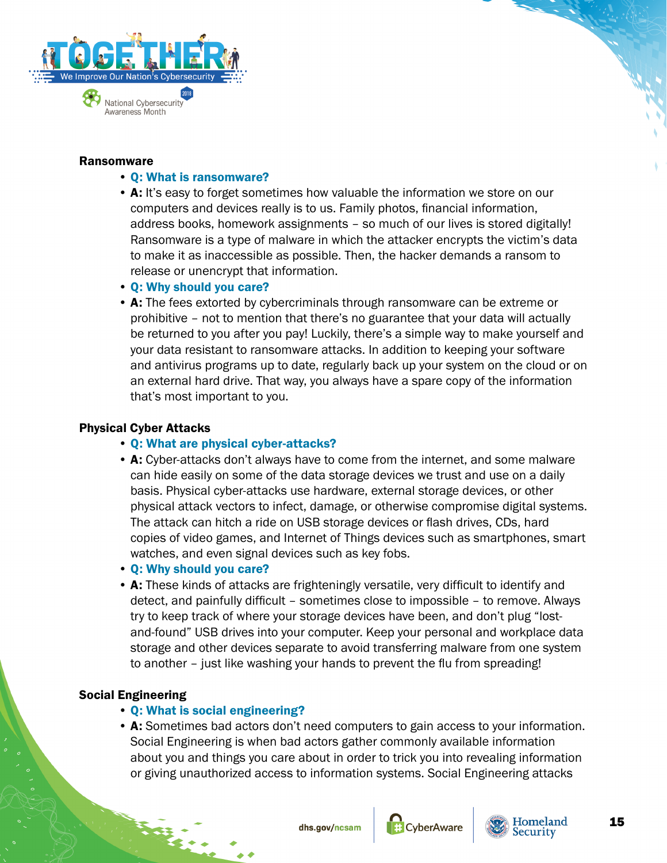

#### Ransomware

#### • Q: What is ransomware?

- A: It's easy to forget sometimes how valuable the information we store on our computers and devices really is to us. Family photos, financial information, address books, homework assignments – so much of our lives is stored digitally! Ransomware is a type of malware in which the attacker encrypts the victim's data to make it as inaccessible as possible. Then, the hacker demands a ransom to release or unencrypt that information.
- Q: Why should you care?
- A: The fees extorted by cybercriminals through ransomware can be extreme or prohibitive – not to mention that there's no guarantee that your data will actually be returned to you after you pay! Luckily, there's a simple way to make yourself and your data resistant to ransomware attacks. In addition to keeping your software and antivirus programs up to date, regularly back up your system on the cloud or on an external hard drive. That way, you always have a spare copy of the information that's most important to you.

## Physical Cyber Attacks

- Q: What are physical cyber-attacks?
- A: Cyber-attacks don't always have to come from the internet, and some malware can hide easily on some of the data storage devices we trust and use on a daily basis. Physical cyber-attacks use hardware, external storage devices, or other physical attack vectors to infect, damage, or otherwise compromise digital systems. The attack can hitch a ride on USB storage devices or flash drives, CDs, hard copies of video games, and Internet of Things devices such as smartphones, smart watches, and even signal devices such as key fobs.
- Q: Why should you care?
- A: These kinds of attacks are frighteningly versatile, very difficult to identify and detect, and painfully difficult – sometimes close to impossible – to remove. Always try to keep track of where your storage devices have been, and don't plug "lostand-found" USB drives into your computer. Keep your personal and workplace data storage and other devices separate to avoid transferring malware from one system to another – just like washing your hands to prevent the flu from spreading!

# Social Engineering

- Q: What is social engineering?
- A: Sometimes bad actors don't need computers to gain access to your information. Social Engineering is when bad actors gather commonly available information about you and things you care about in order to trick you into revealing information or giving unauthorized access to information systems. Social Engineering attacks



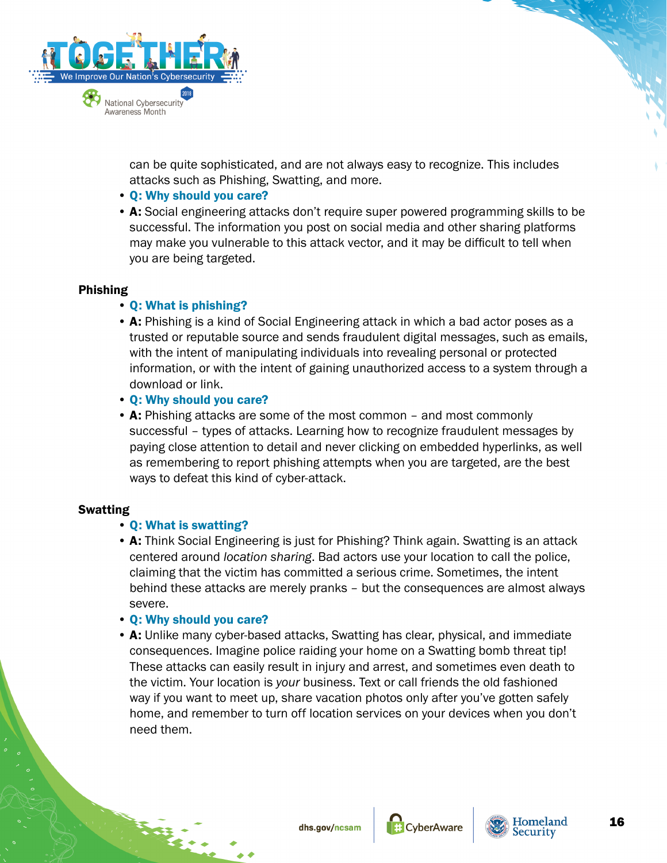

can be quite sophisticated, and are not always easy to recognize. This includes attacks such as Phishing, Swatting, and more.

- Q: Why should you care?
- A: Social engineering attacks don't require super powered programming skills to be successful. The information you post on social media and other sharing platforms may make you vulnerable to this attack vector, and it may be difficult to tell when you are being targeted.

## Phishing

## • Q: What is phishing?

- A: Phishing is a kind of Social Engineering attack in which a bad actor poses as a trusted or reputable source and sends fraudulent digital messages, such as emails, with the intent of manipulating individuals into revealing personal or protected information, or with the intent of gaining unauthorized access to a system through a download or link.
- Q: Why should you care?
- A: Phishing attacks are some of the most common and most commonly successful – types of attacks. Learning how to recognize fraudulent messages by paying close attention to detail and never clicking on embedded hyperlinks, as well as remembering to report phishing attempts when you are targeted, are the best ways to defeat this kind of cyber-attack.

## Swatting

# • Q: What is swatting?

• A: Think Social Engineering is just for Phishing? Think again. Swatting is an attack centered around *location sharing*. Bad actors use your location to call the police, claiming that the victim has committed a serious crime. Sometimes, the intent behind these attacks are merely pranks – but the consequences are almost always severe.

## • Q: Why should you care?

• A: Unlike many cyber-based attacks, Swatting has clear, physical, and immediate consequences. Imagine police raiding your home on a Swatting bomb threat tip! These attacks can easily result in injury and arrest, and sometimes even death to the victim. Your location is *your* business. Text or call friends the old fashioned way if you want to meet up, share vacation photos only after you've gotten safely home, and remember to turn off location services on your devices when you don't need them.



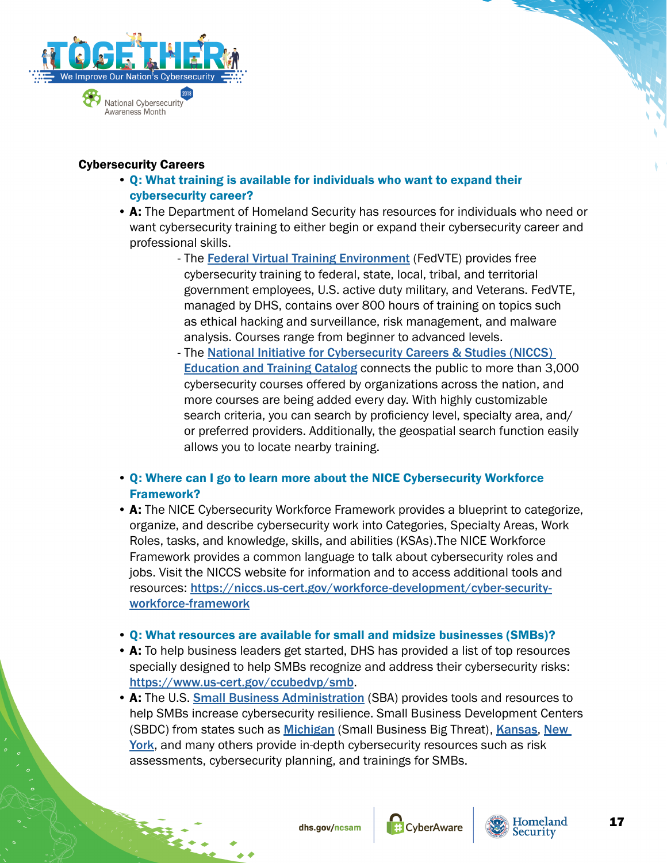

## Cybersecurity Careers

- Q: What training is available for individuals who want to expand their cybersecurity career?
- A: The Department of Homeland Security has resources for individuals who need or want cybersecurity training to either begin or expand their cybersecurity career and professional skills.
	- The [Federal Virtual Training Environment](http://go.usa.gov/xPTP4) (FedVTE) provides free cybersecurity training to federal, state, local, tribal, and territorial government employees, U.S. active duty military, and Veterans. FedVTE, managed by DHS, contains over 800 hours of training on topics such as ethical hacking and surveillance, risk management, and malware analysis. Courses range from beginner to advanced levels.
	- The National Initiative for Cybersecurity Careers & Studies (NICCS) [Education and Training Catalog](https://go.usa.gov/xPTPj) connects the public to more than 3,000 cybersecurity courses offered by organizations across the nation, and more courses are being added every day. With highly customizable search criteria, you can search by proficiency level, specialty area, and/ or preferred providers. Additionally, the geospatial search function easily allows you to locate nearby training.
- Q: Where can I go to learn more about the NICE Cybersecurity Workforce Framework?
- A: The NICE Cybersecurity Workforce Framework provides a blueprint to categorize, organize, and describe cybersecurity work into Categories, Specialty Areas, Work Roles, tasks, and knowledge, skills, and abilities (KSAs).The NICE Workforce Framework provides a common language to talk about cybersecurity roles and jobs. Visit the NICCS website for information and to access additional tools and resources: [https://niccs.us-cert.gov/workforce-development/cyber-security](https://niccs.us-cert.gov/workforce-development/cyber-security-workforce-framework)[workforce-framework](https://niccs.us-cert.gov/workforce-development/cyber-security-workforce-framework)
- Q: What resources are available for small and midsize businesses (SMBs)?
- A: To help business leaders get started, DHS has provided a list of top resources specially designed to help SMBs recognize and address their cybersecurity risks: <https://www.us-cert.gov/ccubedvp/smb>.
- A: The U.S. **[Small Business Administration](https://www.sba.gov/managing-business/cybersecurity/introduction-cybersecurity)** (SBA) provides tools and resources to help SMBs increase cybersecurity resilience. Small Business Development Centers (SBDC) from states such as [Michigan](https://smallbusinessbigthreat.com/) (Small Business Big Threat), [Kansas](https://www.kansassbdc.net/cyber/), New [York](http://www.nyssbdc.org/resources/cybersecurity.html), and many others provide in-depth cybersecurity resources such as risk assessments, cybersecurity planning, and trainings for SMBs.